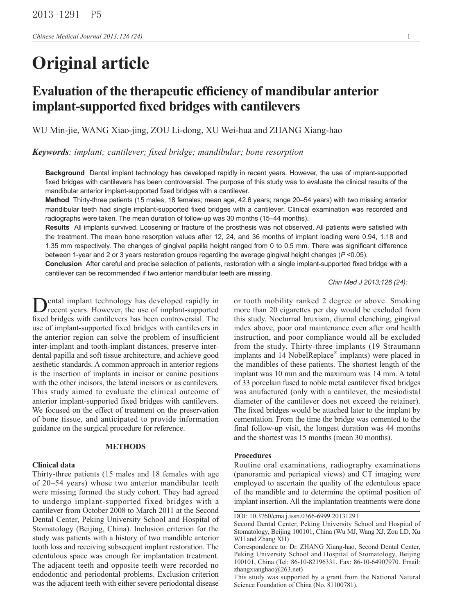# **Original article**

# **Evaluation of the therapeutic efficiency of mandibular anterior implant-supported fixed bridges with cantilevers**

WU Min-jie, WANG Xiao-jing, ZOU Li-dong, XU Wei-hua and ZHANG Xiang-hao

*Keywords: implant; cantilever; fixed bridge; mandibular; bone resorption*

**Background** Dental implant technology has developed rapidly in recent years. However, the use of implant-supported fixed bridges with cantilevers has been controversial. The purpose of this study was to evaluate the clinical results of the mandibular anterior implant-supported fixed bridges with a cantilever.

**Method** Thirty-three patients (15 males, 18 females; mean age, 42.6 years; range 20–54 years) with two missing anterior mandibular teeth had single implant-supported fixed bridges with a cantilever. Clinical examination was recorded and radiographs were taken. The mean duration of follow-up was 30 months (15–44 months).

**Results** All implants survived. Loosening or fracture of the prosthesis was not observed. All patients were satisfied with the treatment. The mean bone resorption values after 12, 24, and 36 months of implant loading were 0.94, 1.18 and 1.35 mm respectively. The changes of gingival papilla height ranged from 0 to 0.5 mm. There was significant difference between 1-year and 2 or 3 years restoration groups regarding the average gingival height changes (*P* <0.05).

**Conclusion** After careful and precise selection of patients, restoration with a single implant-supported fixed bridge with a cantilever can be recommended if two anterior mandibular teeth are missing.

*Chin Med J 2013;126 (24):*

ental implant technology has developed rapidly in recent years. However, the use of implant-supported fixed bridges with cantilevers has been controversial. The use of implant-supported fixed bridges with cantilevers in the anterior region can solve the problem of insufficient inter-implant and tooth-implant distances, preserve interdental papilla and soft tissue architecture, and achieve good aesthetic standards. A common approach in anterior regions is the insertion of implants in incisor or canine positions with the other incisors, the lateral incisors or as cantilevers. This study aimed to evaluate the clinical outcome of anterior implant-supported fixed bridges with cantilevers. We focused on the effect of treatment on the preservation of bone tissue, and anticipated to provide information guidance on the surgical procedure for reference.

## **METHODS**

#### **Clinical data**

Thirty-three patients (15 males and 18 females with age of 20–54 years) whose two anterior mandibular teeth were missing formed the study cohort. They had agreed to undergo implant-supported fixed bridges with a cantilever from October 2008 to March 2011 at the Second Dental Center, Peking University School and Hospital of Stomatology (Beijing, China). Inclusion criterion for the study was patients with a history of two mandible anterior tooth loss and receiving subsequent implant restoration. The edentulous space was enough for implantation treatment. The adjacent teeth and opposite teeth were recorded no endodontic and periodontal problems. Exclusion criterion was the adjacent teeth with either severe periodontal disease

or tooth mobility ranked 2 degree or above. Smoking more than 20 cigarettes per day would be excluded from this study. Nocturnal bruxism, diurnal clenching, gingival index above, poor oral maintenance even after oral health instruction, and poor compliance would all be excluded from the study. Thirty-three implants (19 Straumann implants and 14 NobelReplace® implants) were placed in the mandibles of these patients. The shortest length of the implant was 10 mm and the maximum was 14 mm. A total of 33 porcelain fused to noble metal cantilever fixed bridges was anufactured (only with a cantilever, the mesiodistal diameter of the cantilever does not exceed the retainer). The fixed bridges would be attached later to the implant by cementation. From the time the bridge was cemented to the final follow-up visit, the longest duration was 44 months and the shortest was 15 months (mean 30 months).

#### **Procedures**

Routine oral examinations, radiography examinations (panoramic and periapical views) and CT imaging were employed to ascertain the quality of the edentulous space of the mandible and to determine the optimal position of implant insertion. All the implantation treatments were done

DOI: 10.3760/cma.j.issn.0366-6999.20131291

Second Dental Center, Peking University School and Hospital of Stomatology, Beijing 100101, China (Wu MJ, Wang XJ, Zou LD, Xu WH and Zhang XH)

Correspondence to: Dr. ZHANG Xiang-hao, Second Dental Center, Peking University School and Hospital of Stomatology, Beijing 100101, China (Tel: 86-10-82196331. Fax: 86-10-64907970. Email: zhangxianghao@263.net)

This study was supported by a grant from the National Natural Science Foundation of China (No. 81100781).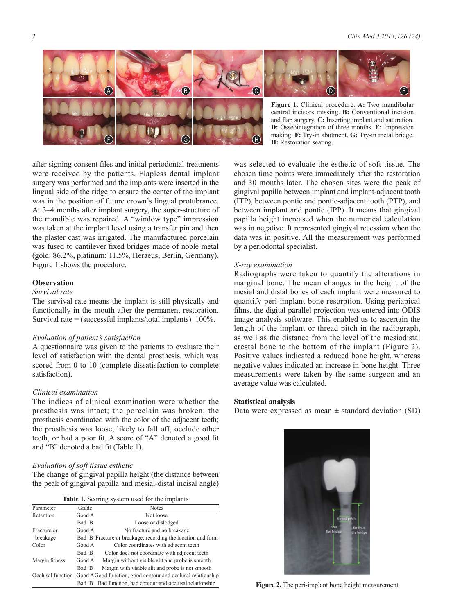

after signing consent files and initial periodontal treatments were received by the patients. Flapless dental implant surgery was performed and the implants were inserted in the lingual side of the ridge to ensure the center of the implant was in the position of future crown's lingual protubrance. At 3–4 months after implant surgery, the super-structure of the mandible was repaired. A "window type" impression was taken at the implant level using a transfer pin and then the plaster cast was irrigated. The manufactured porcelain was fused to cantilever fixed bridges made of noble metal (gold: 86.2%, platinum: 11.5%, Heraeus, Berlin, Germany). Figure 1 shows the procedure.

# **Observation**

# *Survival rate*

The survival rate means the implant is still physically and functionally in the mouth after the permanent restoration. Survival rate  $=$  (successful implants/total implants) 100%.

# *Evaluation of patient's satisfaction*

A questionnaire was given to the patients to evaluate their level of satisfaction with the dental prosthesis, which was scored from 0 to 10 (complete dissatisfaction to complete satisfaction).

# *Clinical examination*

The indices of clinical examination were whether the prosthesis was intact; the porcelain was broken; the prosthesis coordinated with the color of the adjacent teeth; the prosthesis was loose, likely to fall off, occlude other teeth, or had a poor fit. A score of "A" denoted a good fit and "B" denoted a bad fit (Table 1).

# *Evaluation of soft tissue esthetic*

The change of gingival papilla height (the distance between the peak of gingival papilla and mesial-distal incisal angle)

|  |  |  |  |  |  | Table 1. Scoring system used for the implants |
|--|--|--|--|--|--|-----------------------------------------------|
|--|--|--|--|--|--|-----------------------------------------------|

| Parameter      | Grade  | <b>Notes</b>                                                                  |
|----------------|--------|-------------------------------------------------------------------------------|
| Retention      | Good A | Not loose                                                                     |
|                | Bad B  | Loose or dislodged                                                            |
| Fracture or    | Good A | No fracture and no breakage                                                   |
| breakage       |        | Bad B Fracture or breakage; recording the location and form                   |
| Color          | Good A | Color coordinates with adjacent teeth                                         |
|                | Bad B  | Color does not coordinate with adjacent teeth                                 |
| Margin fitness | Good A | Margin without visible slit and probe is smooth                               |
|                | Bad B  | Margin with visible slit and probe is not smooth                              |
|                |        | Occlusal function Good AGood function, good contour and occlusal relationship |
|                | Bad B  | Bad function, bad contour and occlusal relationship                           |

was selected to evaluate the esthetic of soft tissue. The chosen time points were immediately after the restoration and 30 months later. The chosen sites were the peak of gingival papilla between implant and implant-adjacent tooth (ITP), between pontic and pontic-adjacent tooth (PTP), and between implant and pontic (IPP). It means that gingival papilla height increased when the numerical calculation was in negative. It represented gingival recession when the data was in positive. All the measurement was performed by a periodontal specialist.

**H:** Restoration seating.

# *X-ray examination*

Radiographs were taken to quantify the alterations in marginal bone. The mean changes in the height of the mesial and distal bones of each implant were measured to quantify peri-implant bone resorption. Using periapical films, the digital parallel projection was entered into ODIS image analysis software. This enabled us to ascertain the length of the implant or thread pitch in the radiograph, as well as the distance from the level of the mesiodistal crestal bone to the bottom of the implant (Figure 2). Positive values indicated a reduced bone height, whereas negative values indicated an increase in bone height. Three measurements were taken by the same surgeon and an average value was calculated.

#### **Statistical analysis**

Data were expressed as mean  $\pm$  standard deviation (SD)



**Figure 2.** The peri-implant bone height measurement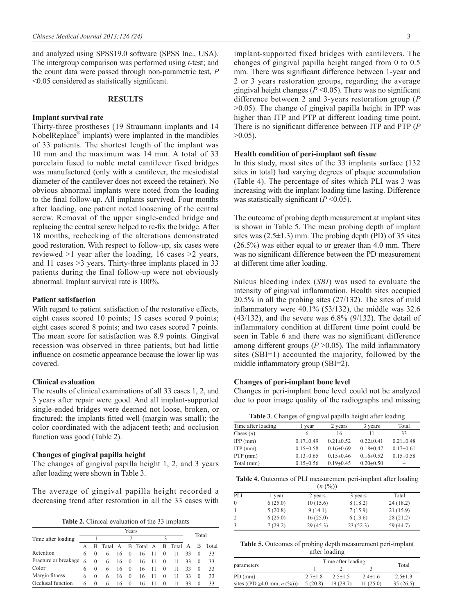and analyzed using SPSS19.0 software (SPSS Inc., USA). The intergroup comparison was performed using *t*-test; and the count data were passed through non-parametric test, *P*  <0.05 considered as statistically significant.

# **RESULTS**

#### **Implant survival rate**

Thirty-three prostheses (19 Straumann implants and 14 NobelReplace® implants) were implanted in the mandibles of 33 patients. The shortest length of the implant was 10 mm and the maximum was 14 mm. A total of 33 porcelain fused to noble metal cantilever fixed bridges was manufactured (only with a cantilever, the mesiodistal diameter of the cantilever does not exceed the retainer). No obvious abnormal implants were noted from the loading to the final follow-up. All implants survived. Four months after loading, one patient noted loosening of the central screw. Removal of the upper single-ended bridge and replacing the central screw helped to re-fix the bridge. After 18 months, rechecking of the alterations demonstrated good restoration. With respect to follow-up, six cases were reviewed >1 year after the loading, 16 cases >2 years, and 11 cases >3 years. Thirty-three implants placed in 33 patients during the final follow-up were not obviously abnormal. Implant survival rate is 100%.

#### **Patient satisfaction**

With regard to patient satisfaction of the restorative effects, eight cases scored 10 points; 15 cases scored 9 points; eight cases scored 8 points; and two cases scored 7 points. The mean score for satisfaction was 8.9 points. Gingival recession was observed in three patients, but had little influence on cosmetic appearance because the lower lip was covered.

#### **Clinical evaluation**

The results of clinical examinations of all 33 cases 1, 2, and 3 years after repair were good. And all implant-supported single-ended bridges were deemed not loose, broken, or fractured; the implants fitted well (margin was small); the color coordinated with the adjacent teeth; and occlusion function was good (Table 2).

#### **Changes of gingival papilla height**

The changes of gingival papilla height 1, 2, and 3 years after loading were shown in Table 3.

The average of gingival papilla height recorded a decreasing trend after restoration in all the 33 cases with

**Table 2.** Clinical evaluation of the 33 implants

|                      |   |          |           |              | Years    |           |      |                         |           |    | Total    |         |
|----------------------|---|----------|-----------|--------------|----------|-----------|------|-------------------------|-----------|----|----------|---------|
| Time after loading   |   |          |           |              | っ        |           |      | $\mathbf{\overline{3}}$ |           |    |          |         |
|                      |   |          | B Total A |              |          | B Total A |      |                         | B Total A |    |          | B Total |
| Retention            | 6 | $\Omega$ | 6         | 16           | $\theta$ | 16        | - 11 | $\theta$                | -11       | 33 | $\Omega$ | 33      |
| Fracture or breakage | 6 | $\Omega$ | 6         | $16 \quad 0$ |          | 16        | - 11 | $\Omega$                | -11       | 33 | $\Omega$ | 33      |
| Color                | 6 | $\Omega$ | 6         | 16           | $\theta$ | 16        | - 11 | $\theta$                | 11        | 33 | $\Omega$ | 33      |
| Margin fitness       | 6 | $\Omega$ | 6         | 16           | $\Omega$ | 16        | -11  | $\Omega$                | 11        | 33 | $\Omega$ | 33      |
| Occlusal function    | 6 | $\Omega$ | 6         | 16           | $\theta$ | 16        | 11   | $\Omega$                |           | 33 | $\Omega$ | 33      |

implant-supported fixed bridges with cantilevers. The changes of gingival papilla height ranged from 0 to 0.5 mm. There was significant difference between 1-year and 2 or 3 years restoration groups, regarding the average gingival height changes (*P* <0.05). There was no significant difference between 2 and 3-years restoration group (*P*  >0.05). The change of gingival papilla height in IPP was higher than ITP and PTP at different loading time point. There is no significant difference between ITP and PTP (*P*   $>0.05$ ).

#### **Health condition of peri-implant soft tissue**

In this study, most sites of the 33 implants surface (132 sites in total) had varying degrees of plaque accumulation (Table 4). The percentage of sites which PLI was 3 was increasing with the implant loading time lasting. Difference was statistically significant (*P* <0.05).

The outcome of probing depth measurement at implant sites is shown in Table 5. The mean probing depth of implant sites was  $(2.5\pm1.3)$  mm. The probing depth (PD) of 35 sites (26.5%) was either equal to or greater than 4.0 mm. There was no significant difference between the PD measurement at different time after loading.

Sulcus bleeding index (*SBI*) was used to evaluate the intensity of gingival inflammation. Health sites occupied 20.5% in all the probing sites (27/132). The sites of mild inflammatory were 40.1% (53/132), the middle was 32.6 (43/132), and the severe was  $6.8\%$  (9/132). The detail of inflammatory condition at different time point could be seen in Table 6 and there was no significant difference among different groups  $(P > 0.05)$ . The mild inflammatory sites (SBI=1) accounted the majority, followed by the middle inflammatory group (SBI=2).

#### **Changes of peri-implant bone level**

Changes in peri-implant bone level could not be analyzed due to poor image quality of the radiographs and missing

**Table 3**. Changes of gingival papilla height after loading

|                    | <u>.</u>        |                 |                 |                          |
|--------------------|-----------------|-----------------|-----------------|--------------------------|
| Time after loading | year            | 2 years         | 3 years         | Total                    |
| Cases $(n)$        | 6               | 16              |                 | 33                       |
| IPP(mm)            | $0.17 \pm 0.49$ | $0.21 + 0.52$   | $0.22+0.41$     | $0.21 \pm 0.48$          |
| $ITP$ (mm)         | $0.15 \pm 0.58$ | $0.16 \pm 0.69$ | $0.18 \pm 0.47$ | $0.17 \pm 0.61$          |
| $PTP$ (mm)         | $0.13 + 0.65$   | $0.15 + 0.46$   | $0.16 + 0.52$   | $0.15 + 0.58$            |
| Total (mm)         | $0.15 + 0.56$   | $0.19 + 0.45$   | $0.20 + 0.50$   | $\overline{\phantom{a}}$ |
|                    |                 |                 |                 |                          |

**Table 4.** Outcomes of PLI measurement peri-implant after loading  $(n (96))$ 

|     |         | $\left( \frac{1}{2} \right)$ |          |           |
|-----|---------|------------------------------|----------|-----------|
| PLI | l year  | 2 years                      | 3 years  | Total     |
|     | 6(25.0) | 10(15.6)                     | 8(18.2)  | 24(18.2)  |
|     | 5(20.8) | 9(14.1)                      | 7(15.9)  | 21(15.9)  |
|     | 6(25.0) | 16(25.0)                     | 6(13.6)  | 28(21.2)  |
|     | 7(29.2) | 29(45.3)                     | 23(52.3) | 59 (44.7) |

**Table 5.** Outcomes of probing depth measurement peri-implant after loading

|                                     | Time after loading | Total       |             |             |
|-------------------------------------|--------------------|-------------|-------------|-------------|
| parameters                          |                    |             |             |             |
| PD (mm)                             | $2.7 + 1.8$        | $2.5 + 1.5$ | $2.4 + 1.6$ | $2.5 + 1.3$ |
| sites ((PD $\geq 4.0$ mm, $n$ (%))) | 5(20.8)            | 19(29.7)    | 11(25.0)    | 35(26.5)    |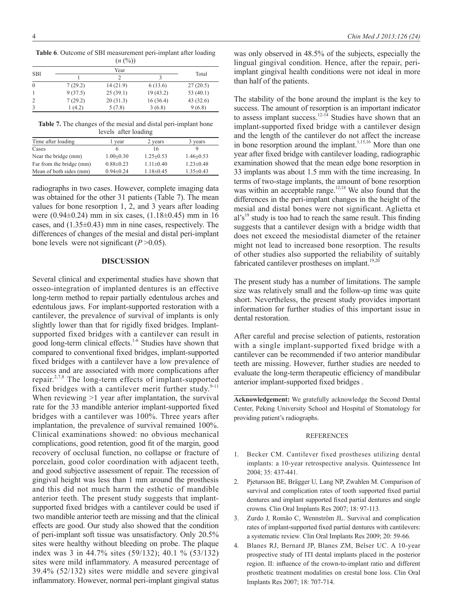|                |         | (11.10)  |          |             |  |  |  |
|----------------|---------|----------|----------|-------------|--|--|--|
| <b>SBI</b>     |         | Year     |          |             |  |  |  |
|                |         |          |          | Total       |  |  |  |
| $\theta$       | 7(29.2) | 14(21.9) | 6 (13.6) | 27(20.5)    |  |  |  |
|                | 9(37.5) | 25(39.1) | 19(43.2) | 53 $(40.1)$ |  |  |  |
| $\overline{2}$ | 7(29.2) | 20(31.3) | 16(36.4) | 43(32.6)    |  |  |  |
|                | 1(4.2)  | 5(7.8)   | 3(6.8)   | 9(6.8)      |  |  |  |

**Table 6**. Outcome of SBI measurement peri-implant after loading  $(n (%)$ 

**Table 7.** The changes of the mesial and distal peri-implant bone levels after loading

| Time after loading       | year            | 2 years         | 3 years         |
|--------------------------|-----------------|-----------------|-----------------|
| Cases                    |                 | 16              |                 |
| Near the bridge (mm)     | $1.00 \pm 0.30$ | $1.25 \pm 0.53$ | $1.46 \pm 0.53$ |
| Far from the bridge (mm) | $0.88 \pm 0.23$ | $1.11 \pm 0.40$ | $1.23 \pm 0.48$ |
| Mean of both sides (mm)  | $0.94 + 0.24$   | $1.18 \pm 0.45$ | $1.35 \pm 0.43$ |

radiographs in two cases. However, complete imaging data was obtained for the other 31 patients (Table 7). The mean values for bone resorption 1, 2, and 3 years after loading were (0.94±0.24) mm in six cases, (1.18±0.45) mm in 16 cases, and  $(1.35\pm0.43)$  mm in nine cases, respectively. The differences of changes of the mesial and distal peri-implant bone levels were not significant (*P* >0.05).

# **DISCUSSION**

Several clinical and experimental studies have shown that osseo-integration of implanted dentures is an effective long-term method to repair partially edentulous arches and edentulous jaws. For implant-supported restoration with a cantilever, the prevalence of survival of implants is only slightly lower than that for rigidly fixed bridges. Implantsupported fixed bridges with a cantilever can result in good long-term clinical effects.1-6 Studies have shown that compared to conventional fixed bridges, implant-supported fixed bridges with a cantilever have a low prevalence of success and are associated with more complications after repair.2,7,8 The long-term effects of implant-supported fixed bridges with a cantilever merit further study. $9-11$ When reviewing  $>1$  year after implantation, the survival rate for the 33 mandible anterior implant-supported fixed bridges with a cantilever was 100%. Three years after implantation, the prevalence of survival remained 100%. Clinical examinations showed: no obvious mechanical complications, good retention, good fit of the margin, good recovery of occlusal function, no collapse or fracture of porcelain, good color coordination with adjacent teeth, and good subjective assessment of repair. The recession of gingival height was less than 1 mm around the prosthesis and this did not much harm the esthetic of mandible anterior teeth. The present study suggests that implantsupported fixed bridges with a cantilever could be used if two mandible anterior teeth are missing and that the clinical effects are good. Our study also showed that the condition of peri-implant soft tissue was unsatisfactory. Only 20.5% sites were healthy without bleeding on probe. The plaque index was 3 in 44.7% sites (59/132); 40.1 % (53/132) sites were mild inflammatory. A measured percentage of 39.4% (52/132) sites were middle and severe gingival inflammatory. However, normal peri-implant gingival status

was only observed in 48.5% of the subjects, especially the lingual gingival condition. Hence, after the repair, periimplant gingival health conditions were not ideal in more than half of the patients.

The stability of the bone around the implant is the key to success. The amount of resorption is an important indicator to assess implant success.<sup>12-14</sup> Studies have shown that an implant-supported fixed bridge with a cantilever design and the length of the cantilever do not affect the increase in bone resorption around the implant.<sup>1,15,16</sup> More than one year after fixed bridge with cantilever loading, radiographic examination showed that the mean edge bone resorption in 33 implants was about 1.5 mm with the time increasing. In terms of two-stage implants, the amount of bone resorption was within an acceptable range.<sup>12,18</sup> We also found that the differences in the peri-implant changes in the height of the mesial and distal bones were not significant. Aglietta et  $al's<sup>19</sup>$  study is too had to reach the same result. This finding suggests that a cantilever design with a bridge width that does not exceed the mesiodistal diameter of the retainer might not lead to increased bone resorption. The results of other studies also supported the reliability of suitably fabricated cantilever prostheses on implant.<sup>19,20</sup>

The present study has a number of limitations. The sample size was relatively small and the follow-up time was quite short. Nevertheless, the present study provides important information for further studies of this important issue in dental restoration.

After careful and precise selection of patients, restoration with a single implant-supported fixed bridge with a cantilever can be recommended if two anterior mandibular teeth are missing. However, further studies are needed to evaluate the long-term therapeutic efficiency of mandibular anterior implant-supported fixed bridges .

**Acknowledgement:** We gratefully acknowledge the Second Dental Center, Peking University School and Hospital of Stomatology for providing patient's radiographs.

#### **REFERENCES**

- 1. Becker CM. Cantilever fixed prostheses utilizing dental implants: a 10-year retrospective analysis. Quintessence Int 2004; 35: 437-441.
- 2. Pjetursson BE*,* Brägger U*,* Lang NP, Zwahlen M. Comparison of survival and complication rates of tooth supported fixed partial dentures and implant supported fixed partial dentures and single crowns*.* Clin Oral Implants Res 2007; 18: 97*-*113*.*
- 3. Zurdo J*,* Romão C, Wennström JL. Survival and complication rates of implant-supported fixed partial dentures with cantilevers: a systematic review*.* Clin Oral Implants Res 2009; 20: 59*-*66*.*
- 4. Blanes RJ, Bernard JP, Blanes ZM, Belser UC. A 10-year prospective study of ITI dental implants placed in the posterior region. II: influence of the crown-to-implant ratio and different prosthetic treatment modalities on crestal bone loss. Clin Oral Implants Res 2007; 18: 707-714.